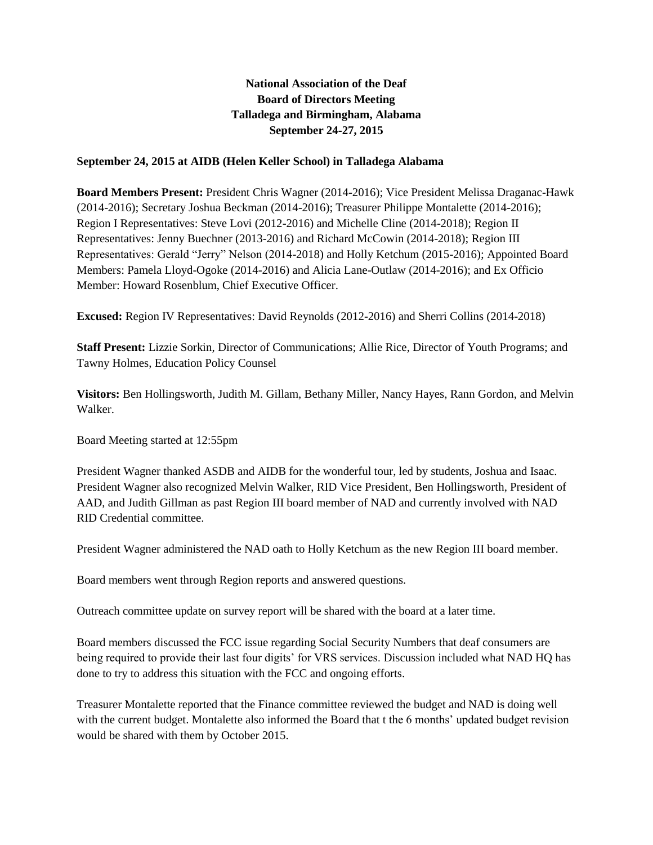# **National Association of the Deaf Board of Directors Meeting Talladega and Birmingham, Alabama September 24-27, 2015**

### **September 24, 2015 at AIDB (Helen Keller School) in Talladega Alabama**

**Board Members Present:** President Chris Wagner (2014-2016); Vice President Melissa Draganac-Hawk (2014-2016); Secretary Joshua Beckman (2014-2016); Treasurer Philippe Montalette (2014-2016); Region I Representatives: Steve Lovi (2012-2016) and Michelle Cline (2014-2018); Region II Representatives: Jenny Buechner (2013-2016) and Richard McCowin (2014-2018); Region III Representatives: Gerald "Jerry" Nelson (2014-2018) and Holly Ketchum (2015-2016); Appointed Board Members: Pamela Lloyd-Ogoke (2014-2016) and Alicia Lane-Outlaw (2014-2016); and Ex Officio Member: Howard Rosenblum, Chief Executive Officer.

**Excused:** Region IV Representatives: David Reynolds (2012-2016) and Sherri Collins (2014-2018)

**Staff Present:** Lizzie Sorkin, Director of Communications; Allie Rice, Director of Youth Programs; and Tawny Holmes, Education Policy Counsel

**Visitors:** Ben Hollingsworth, Judith M. Gillam, Bethany Miller, Nancy Hayes, Rann Gordon, and Melvin Walker.

Board Meeting started at 12:55pm

President Wagner thanked ASDB and AIDB for the wonderful tour, led by students, Joshua and Isaac. President Wagner also recognized Melvin Walker, RID Vice President, Ben Hollingsworth, President of AAD, and Judith Gillman as past Region III board member of NAD and currently involved with NAD RID Credential committee.

President Wagner administered the NAD oath to Holly Ketchum as the new Region III board member.

Board members went through Region reports and answered questions.

Outreach committee update on survey report will be shared with the board at a later time.

Board members discussed the FCC issue regarding Social Security Numbers that deaf consumers are being required to provide their last four digits' for VRS services. Discussion included what NAD HQ has done to try to address this situation with the FCC and ongoing efforts.

Treasurer Montalette reported that the Finance committee reviewed the budget and NAD is doing well with the current budget. Montalette also informed the Board that t the 6 months' updated budget revision would be shared with them by October 2015.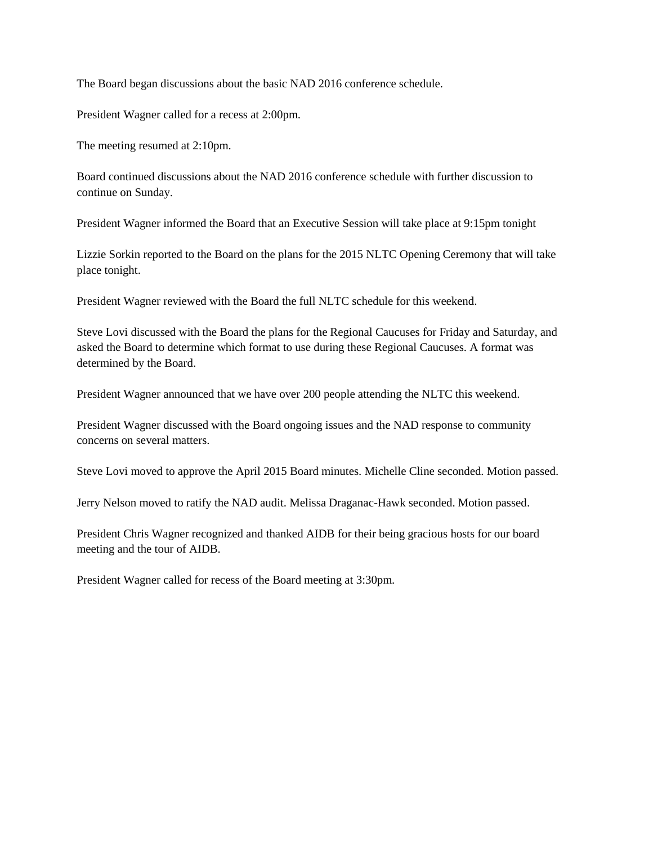The Board began discussions about the basic NAD 2016 conference schedule.

President Wagner called for a recess at 2:00pm.

The meeting resumed at 2:10pm.

Board continued discussions about the NAD 2016 conference schedule with further discussion to continue on Sunday.

President Wagner informed the Board that an Executive Session will take place at 9:15pm tonight

Lizzie Sorkin reported to the Board on the plans for the 2015 NLTC Opening Ceremony that will take place tonight.

President Wagner reviewed with the Board the full NLTC schedule for this weekend.

Steve Lovi discussed with the Board the plans for the Regional Caucuses for Friday and Saturday, and asked the Board to determine which format to use during these Regional Caucuses. A format was determined by the Board.

President Wagner announced that we have over 200 people attending the NLTC this weekend.

President Wagner discussed with the Board ongoing issues and the NAD response to community concerns on several matters.

Steve Lovi moved to approve the April 2015 Board minutes. Michelle Cline seconded. Motion passed.

Jerry Nelson moved to ratify the NAD audit. Melissa Draganac-Hawk seconded. Motion passed.

President Chris Wagner recognized and thanked AIDB for their being gracious hosts for our board meeting and the tour of AIDB.

President Wagner called for recess of the Board meeting at 3:30pm.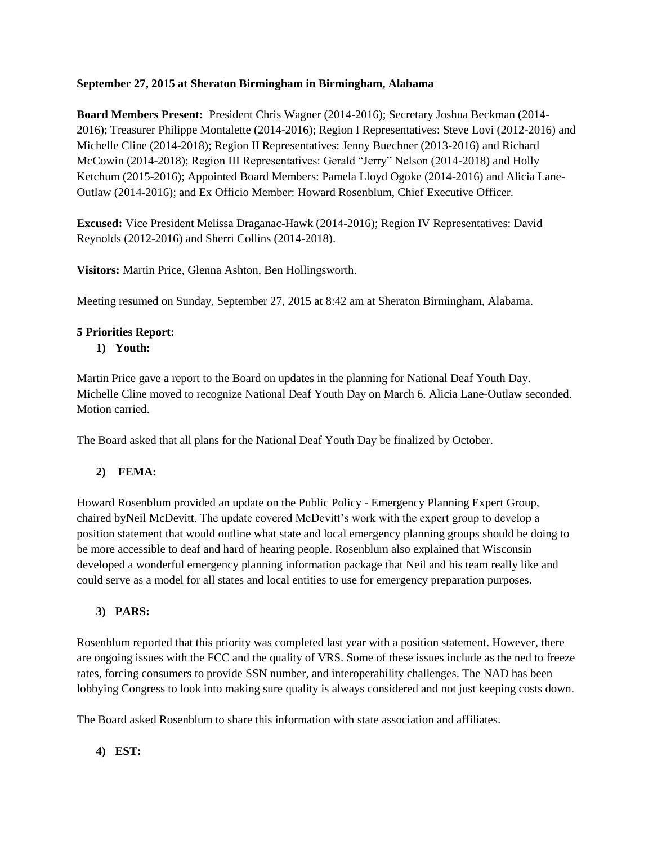### **September 27, 2015 at Sheraton Birmingham in Birmingham, Alabama**

**Board Members Present:** President Chris Wagner (2014-2016); Secretary Joshua Beckman (2014- 2016); Treasurer Philippe Montalette (2014-2016); Region I Representatives: Steve Lovi (2012-2016) and Michelle Cline (2014-2018); Region II Representatives: Jenny Buechner (2013-2016) and Richard McCowin (2014-2018); Region III Representatives: Gerald "Jerry" Nelson (2014-2018) and Holly Ketchum (2015-2016); Appointed Board Members: Pamela Lloyd Ogoke (2014-2016) and Alicia Lane-Outlaw (2014-2016); and Ex Officio Member: Howard Rosenblum, Chief Executive Officer.

**Excused:** Vice President Melissa Draganac-Hawk (2014-2016); Region IV Representatives: David Reynolds (2012-2016) and Sherri Collins (2014-2018).

**Visitors:** Martin Price, Glenna Ashton, Ben Hollingsworth.

Meeting resumed on Sunday, September 27, 2015 at 8:42 am at Sheraton Birmingham, Alabama.

## **5 Priorities Report:**

### **1) Youth:**

Martin Price gave a report to the Board on updates in the planning for National Deaf Youth Day. Michelle Cline moved to recognize National Deaf Youth Day on March 6. Alicia Lane-Outlaw seconded. Motion carried.

The Board asked that all plans for the National Deaf Youth Day be finalized by October.

## **2) FEMA:**

Howard Rosenblum provided an update on the Public Policy - Emergency Planning Expert Group, chaired byNeil McDevitt. The update covered McDevitt's work with the expert group to develop a position statement that would outline what state and local emergency planning groups should be doing to be more accessible to deaf and hard of hearing people. Rosenblum also explained that Wisconsin developed a wonderful emergency planning information package that Neil and his team really like and could serve as a model for all states and local entities to use for emergency preparation purposes.

## **3) PARS:**

Rosenblum reported that this priority was completed last year with a position statement. However, there are ongoing issues with the FCC and the quality of VRS. Some of these issues include as the ned to freeze rates, forcing consumers to provide SSN number, and interoperability challenges. The NAD has been lobbying Congress to look into making sure quality is always considered and not just keeping costs down.

The Board asked Rosenblum to share this information with state association and affiliates.

## **4) EST:**